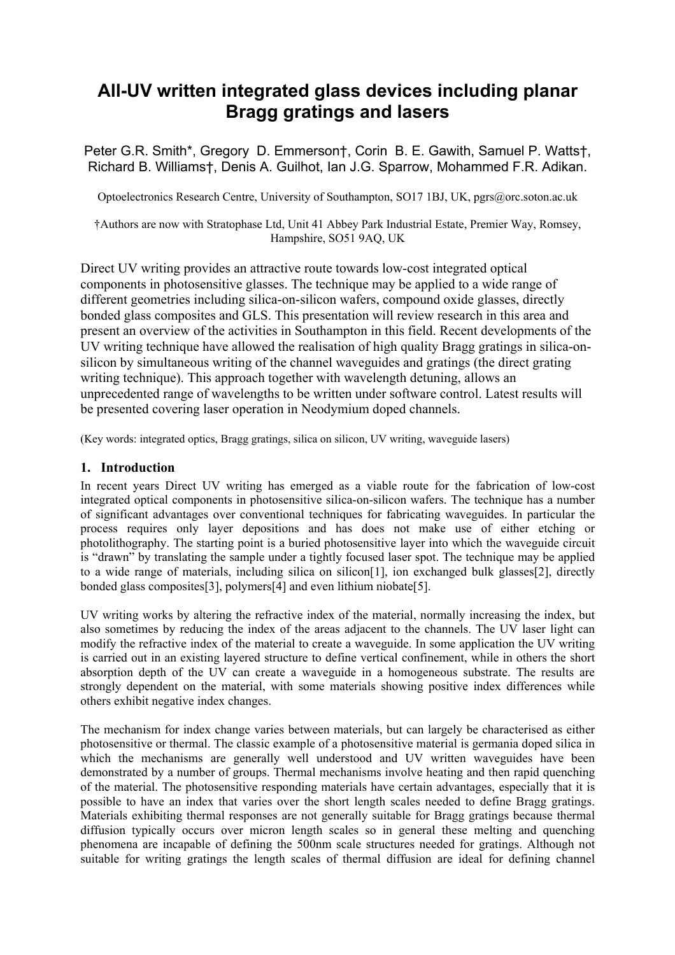# **All-UV written integrated glass devices including planar Bragg gratings and lasers**

Peter G.R. Smith\*, Gregory D. Emmerson†, Corin B. E. Gawith, Samuel P. Watts†, Richard B. Williams†, Denis A. Guilhot, Ian J.G. Sparrow, Mohammed F.R. Adikan.

Optoelectronics Research Centre, University of Southampton, SO17 1BJ, UK, pgrs@orc.soton.ac.uk

†Authors are now with Stratophase Ltd, Unit 41 Abbey Park Industrial Estate, Premier Way, Romsey, Hampshire, SO51 9AQ, UK

Direct UV writing provides an attractive route towards low-cost integrated optical components in photosensitive glasses. The technique may be applied to a wide range of different geometries including silica-on-silicon wafers, compound oxide glasses, directly bonded glass composites and GLS. This presentation will review research in this area and present an overview of the activities in Southampton in this field. Recent developments of the UV writing technique have allowed the realisation of high quality Bragg gratings in silica-onsilicon by simultaneous writing of the channel waveguides and gratings (the direct grating writing technique). This approach together with wavelength detuning, allows an unprecedented range of wavelengths to be written under software control. Latest results will be presented covering laser operation in Neodymium doped channels.

(Key words: integrated optics, Bragg gratings, silica on silicon, UV writing, waveguide lasers)

## **1. Introduction**

In recent years Direct UV writing has emerged as a viable route for the fabrication of low-cost integrated optical components in photosensitive silica-on-silicon wafers. The technique has a number of significant advantages over conventional techniques for fabricating waveguides. In particular the process requires only layer depositions and has does not make use of either etching or photolithography. The starting point is a buried photosensitive layer into which the waveguide circuit is "drawn" by translating the sample under a tightly focused laser spot. The technique may be applied to a wide range of materials, including silica on silicon[1], ion exchanged bulk glasses[2], directly bonded glass composites[3], polymers[4] and even lithium niobate[5].

UV writing works by altering the refractive index of the material, normally increasing the index, but also sometimes by reducing the index of the areas adjacent to the channels. The UV laser light can modify the refractive index of the material to create a waveguide. In some application the UV writing is carried out in an existing layered structure to define vertical confinement, while in others the short absorption depth of the UV can create a waveguide in a homogeneous substrate. The results are strongly dependent on the material, with some materials showing positive index differences while others exhibit negative index changes.

The mechanism for index change varies between materials, but can largely be characterised as either photosensitive or thermal. The classic example of a photosensitive material is germania doped silica in which the mechanisms are generally well understood and UV written waveguides have been demonstrated by a number of groups. Thermal mechanisms involve heating and then rapid quenching of the material. The photosensitive responding materials have certain advantages, especially that it is possible to have an index that varies over the short length scales needed to define Bragg gratings. Materials exhibiting thermal responses are not generally suitable for Bragg gratings because thermal diffusion typically occurs over micron length scales so in general these melting and quenching phenomena are incapable of defining the 500nm scale structures needed for gratings. Although not suitable for writing gratings the length scales of thermal diffusion are ideal for defining channel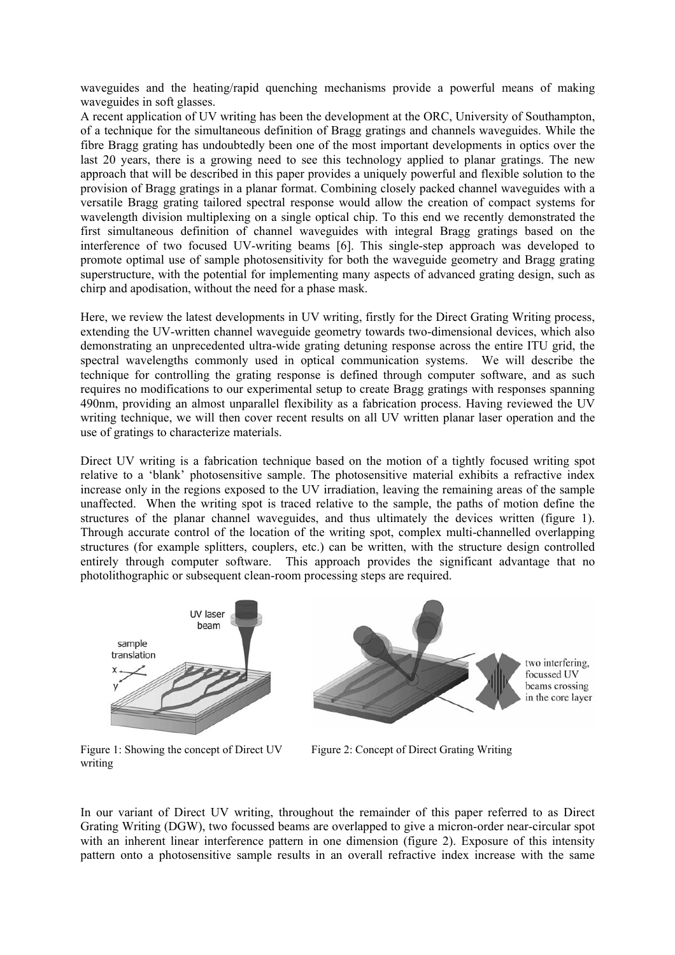waveguides and the heating/rapid quenching mechanisms provide a powerful means of making waveguides in soft glasses.

A recent application of UV writing has been the development at the ORC, University of Southampton, of a technique for the simultaneous definition of Bragg gratings and channels waveguides. While the fibre Bragg grating has undoubtedly been one of the most important developments in optics over the last 20 years, there is a growing need to see this technology applied to planar gratings. The new approach that will be described in this paper provides a uniquely powerful and flexible solution to the provision of Bragg gratings in a planar format. Combining closely packed channel waveguides with a versatile Bragg grating tailored spectral response would allow the creation of compact systems for wavelength division multiplexing on a single optical chip. To this end we recently demonstrated the first simultaneous definition of channel waveguides with integral Bragg gratings based on the interference of two focused UV-writing beams [6]. This single-step approach was developed to promote optimal use of sample photosensitivity for both the waveguide geometry and Bragg grating superstructure, with the potential for implementing many aspects of advanced grating design, such as chirp and apodisation, without the need for a phase mask.

Here, we review the latest developments in UV writing, firstly for the Direct Grating Writing process, extending the UV-written channel waveguide geometry towards two-dimensional devices, which also demonstrating an unprecedented ultra-wide grating detuning response across the entire ITU grid, the spectral wavelengths commonly used in optical communication systems. We will describe the technique for controlling the grating response is defined through computer software, and as such requires no modifications to our experimental setup to create Bragg gratings with responses spanning 490nm, providing an almost unparallel flexibility as a fabrication process. Having reviewed the UV writing technique, we will then cover recent results on all UV written planar laser operation and the use of gratings to characterize materials.

Direct UV writing is a fabrication technique based on the motion of a tightly focused writing spot relative to a 'blank' photosensitive sample. The photosensitive material exhibits a refractive index increase only in the regions exposed to the UV irradiation, leaving the remaining areas of the sample unaffected. When the writing spot is traced relative to the sample, the paths of motion define the structures of the planar channel waveguides, and thus ultimately the devices written (figure 1). Through accurate control of the location of the writing spot, complex multi-channelled overlapping structures (for example splitters, couplers, etc.) can be written, with the structure design controlled entirely through computer software. This approach provides the significant advantage that no photolithographic or subsequent clean-room processing steps are required.



Figure 1: Showing the concept of Direct UV writing

Figure 2: Concept of Direct Grating Writing

In our variant of Direct UV writing, throughout the remainder of this paper referred to as Direct Grating Writing (DGW), two focussed beams are overlapped to give a micron-order near-circular spot with an inherent linear interference pattern in one dimension (figure 2). Exposure of this intensity pattern onto a photosensitive sample results in an overall refractive index increase with the same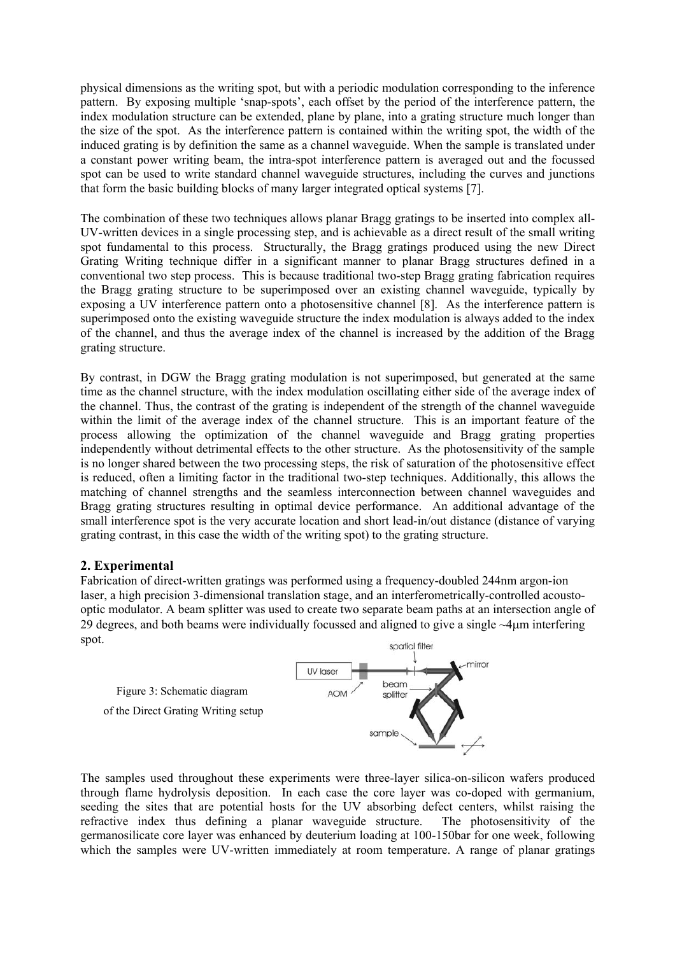physical dimensions as the writing spot, but with a periodic modulation corresponding to the inference pattern. By exposing multiple 'snap-spots', each offset by the period of the interference pattern, the index modulation structure can be extended, plane by plane, into a grating structure much longer than the size of the spot. As the interference pattern is contained within the writing spot, the width of the induced grating is by definition the same as a channel waveguide. When the sample is translated under a constant power writing beam, the intra-spot interference pattern is averaged out and the focussed spot can be used to write standard channel waveguide structures, including the curves and junctions that form the basic building blocks of many larger integrated optical systems [7].

The combination of these two techniques allows planar Bragg gratings to be inserted into complex all-UV-written devices in a single processing step, and is achievable as a direct result of the small writing spot fundamental to this process. Structurally, the Bragg gratings produced using the new Direct Grating Writing technique differ in a significant manner to planar Bragg structures defined in a conventional two step process. This is because traditional two-step Bragg grating fabrication requires the Bragg grating structure to be superimposed over an existing channel waveguide, typically by exposing a UV interference pattern onto a photosensitive channel [8]. As the interference pattern is superimposed onto the existing waveguide structure the index modulation is always added to the index of the channel, and thus the average index of the channel is increased by the addition of the Bragg grating structure.

By contrast, in DGW the Bragg grating modulation is not superimposed, but generated at the same time as the channel structure, with the index modulation oscillating either side of the average index of the channel. Thus, the contrast of the grating is independent of the strength of the channel waveguide within the limit of the average index of the channel structure. This is an important feature of the process allowing the optimization of the channel waveguide and Bragg grating properties independently without detrimental effects to the other structure. As the photosensitivity of the sample is no longer shared between the two processing steps, the risk of saturation of the photosensitive effect is reduced, often a limiting factor in the traditional two-step techniques. Additionally, this allows the matching of channel strengths and the seamless interconnection between channel waveguides and Bragg grating structures resulting in optimal device performance. An additional advantage of the small interference spot is the very accurate location and short lead-in/out distance (distance of varying grating contrast, in this case the width of the writing spot) to the grating structure.

# **2. Experimental**

Fabrication of direct-written gratings was performed using a frequency-doubled 244nm argon-ion laser, a high precision 3-dimensional translation stage, and an interferometrically-controlled acoustooptic modulator. A beam splitter was used to create two separate beam paths at an intersection angle of 29 degrees, and both beams were individually focussed and aligned to give a single ~4µm interfering spot.



The samples used throughout these experiments were three-layer silica-on-silicon wafers produced through flame hydrolysis deposition. In each case the core layer was co-doped with germanium, seeding the sites that are potential hosts for the UV absorbing defect centers, whilst raising the refractive index thus defining a planar waveguide structure. The photosensitivity of the germanosilicate core layer was enhanced by deuterium loading at 100-150bar for one week, following which the samples were UV-written immediately at room temperature. A range of planar gratings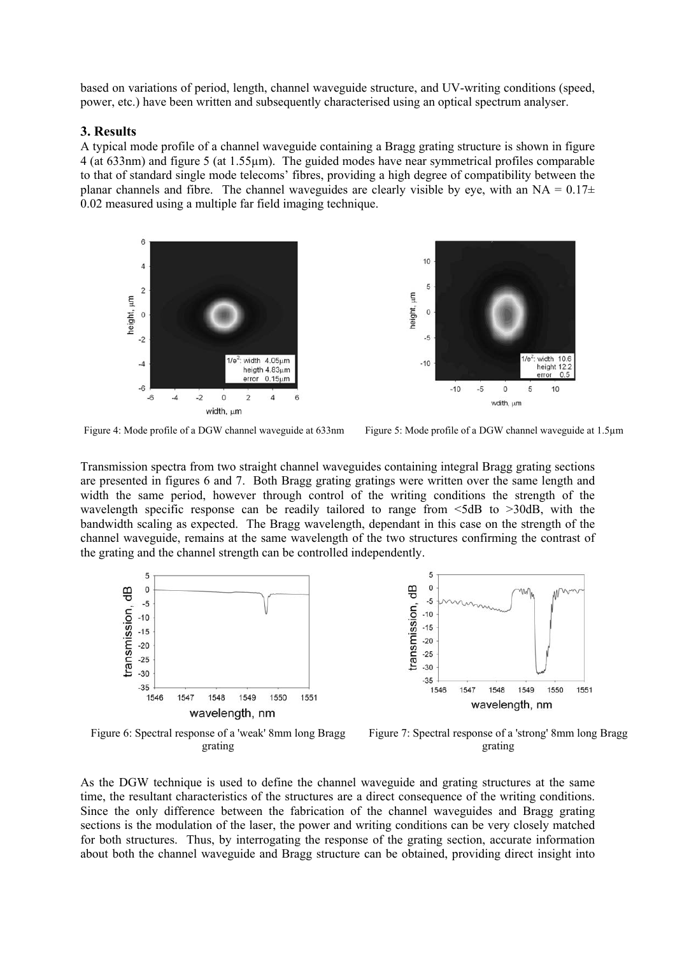based on variations of period, length, channel waveguide structure, and UV-writing conditions (speed, power, etc.) have been written and subsequently characterised using an optical spectrum analyser.

## **3. Results**

A typical mode profile of a channel waveguide containing a Bragg grating structure is shown in figure 4 (at 633nm) and figure 5 (at 1.55µm). The guided modes have near symmetrical profiles comparable to that of standard single mode telecoms' fibres, providing a high degree of compatibility between the planar channels and fibre. The channel waveguides are clearly visible by eye, with an NA =  $0.17\pm$ 0.02 measured using a multiple far field imaging technique.



Figure 4: Mode profile of a DGW channel waveguide at 633nm Figure 5: Mode profile of a DGW channel waveguide at 1.5µm

Transmission spectra from two straight channel waveguides containing integral Bragg grating sections are presented in figures 6 and 7. Both Bragg grating gratings were written over the same length and width the same period, however through control of the writing conditions the strength of the wavelength specific response can be readily tailored to range from  $\leq$ 5dB to  $>$ 30dB, with the bandwidth scaling as expected. The Bragg wavelength, dependant in this case on the strength of the channel waveguide, remains at the same wavelength of the two structures confirming the contrast of the grating and the channel strength can be controlled independently.





Figure 6: Spectral response of a 'weak' 8mm long Bragg grating

Figure 7: Spectral response of a 'strong' 8mm long Bragg grating

As the DGW technique is used to define the channel waveguide and grating structures at the same time, the resultant characteristics of the structures are a direct consequence of the writing conditions. Since the only difference between the fabrication of the channel waveguides and Bragg grating sections is the modulation of the laser, the power and writing conditions can be very closely matched for both structures. Thus, by interrogating the response of the grating section, accurate information about both the channel waveguide and Bragg structure can be obtained, providing direct insight into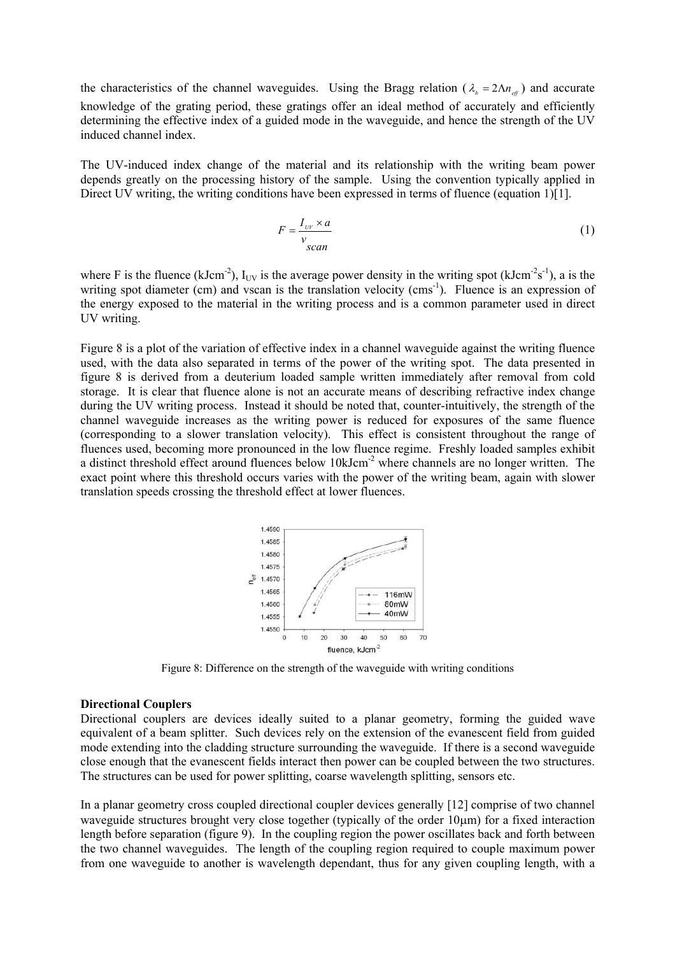the characteristics of the channel waveguides. Using the Bragg relation ( $\lambda_b = 2\Lambda n_{\text{eff}}$ ) and accurate knowledge of the grating period, these gratings offer an ideal method of accurately and efficiently determining the effective index of a guided mode in the waveguide, and hence the strength of the UV induced channel index.

The UV-induced index change of the material and its relationship with the writing beam power depends greatly on the processing history of the sample. Using the convention typically applied in Direct UV writing, the writing conditions have been expressed in terms of fluence (equation 1)[1].

$$
F = \frac{I_{\nu} \times a}{v_{scan}}
$$
 (1)

where F is the fluence (kJcm<sup>-2</sup>),  $I_{UV}$  is the average power density in the writing spot (kJcm<sup>-2</sup>s<sup>-1</sup>), a is the writing spot diameter (cm) and vscan is the translation velocity (cms<sup>-1</sup>). Fluence is an expression of the energy exposed to the material in the writing process and is a common parameter used in direct UV writing.

Figure 8 is a plot of the variation of effective index in a channel waveguide against the writing fluence used, with the data also separated in terms of the power of the writing spot. The data presented in figure 8 is derived from a deuterium loaded sample written immediately after removal from cold storage. It is clear that fluence alone is not an accurate means of describing refractive index change during the UV writing process. Instead it should be noted that, counter-intuitively, the strength of the channel waveguide increases as the writing power is reduced for exposures of the same fluence (corresponding to a slower translation velocity). This effect is consistent throughout the range of fluences used, becoming more pronounced in the low fluence regime. Freshly loaded samples exhibit a distinct threshold effect around fluences below  $10kJcm<sup>-2</sup>$  where channels are no longer written. The exact point where this threshold occurs varies with the power of the writing beam, again with slower translation speeds crossing the threshold effect at lower fluences.



Figure 8: Difference on the strength of the waveguide with writing conditions

#### **Directional Couplers**

Directional couplers are devices ideally suited to a planar geometry, forming the guided wave equivalent of a beam splitter. Such devices rely on the extension of the evanescent field from guided mode extending into the cladding structure surrounding the waveguide. If there is a second waveguide close enough that the evanescent fields interact then power can be coupled between the two structures. The structures can be used for power splitting, coarse wavelength splitting, sensors etc.

In a planar geometry cross coupled directional coupler devices generally [12] comprise of two channel waveguide structures brought very close together (typically of the order 10µm) for a fixed interaction length before separation (figure 9). In the coupling region the power oscillates back and forth between the two channel waveguides. The length of the coupling region required to couple maximum power from one waveguide to another is wavelength dependant, thus for any given coupling length, with a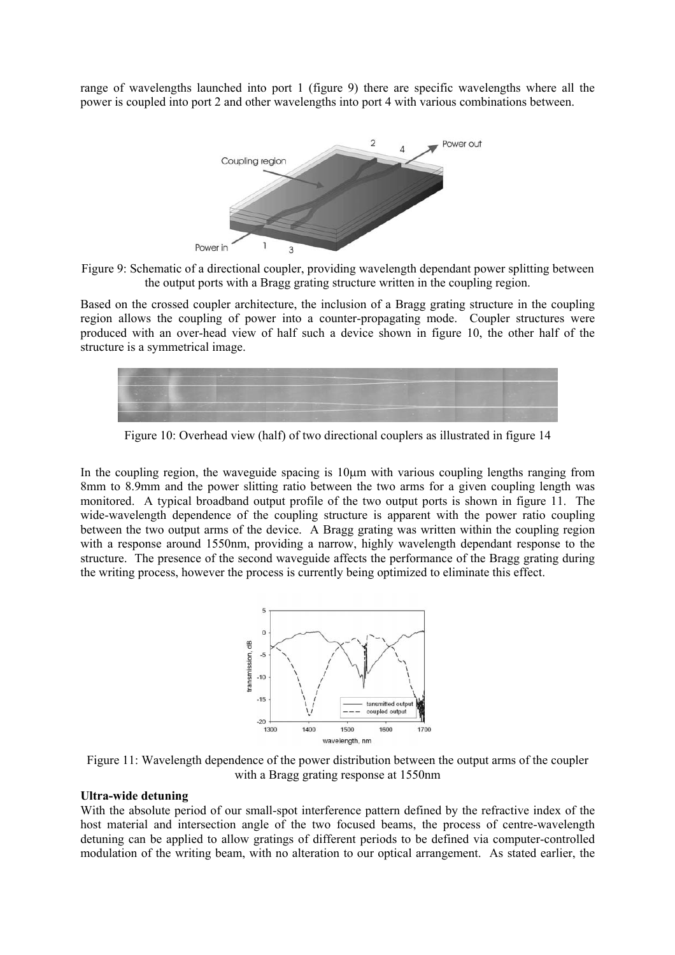range of wavelengths launched into port 1 (figure 9) there are specific wavelengths where all the power is coupled into port 2 and other wavelengths into port 4 with various combinations between.





Based on the crossed coupler architecture, the inclusion of a Bragg grating structure in the coupling region allows the coupling of power into a counter-propagating mode. Coupler structures were produced with an over-head view of half such a device shown in figure 10, the other half of the structure is a symmetrical image.



Figure 10: Overhead view (half) of two directional couplers as illustrated in figure 14

In the coupling region, the waveguide spacing is  $10\mu m$  with various coupling lengths ranging from 8mm to 8.9mm and the power slitting ratio between the two arms for a given coupling length was monitored. A typical broadband output profile of the two output ports is shown in figure 11. The wide-wavelength dependence of the coupling structure is apparent with the power ratio coupling between the two output arms of the device. A Bragg grating was written within the coupling region with a response around 1550nm, providing a narrow, highly wavelength dependant response to the structure. The presence of the second waveguide affects the performance of the Bragg grating during the writing process, however the process is currently being optimized to eliminate this effect.



Figure 11: Wavelength dependence of the power distribution between the output arms of the coupler with a Bragg grating response at 1550nm

#### **Ultra-wide detuning**

With the absolute period of our small-spot interference pattern defined by the refractive index of the host material and intersection angle of the two focused beams, the process of centre-wavelength detuning can be applied to allow gratings of different periods to be defined via computer-controlled modulation of the writing beam, with no alteration to our optical arrangement. As stated earlier, the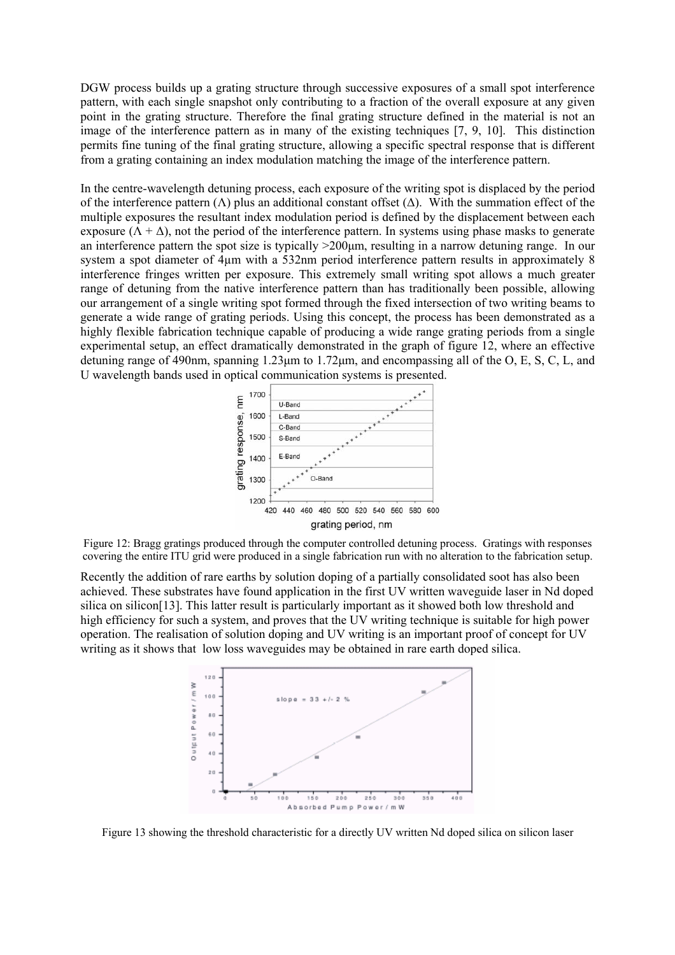DGW process builds up a grating structure through successive exposures of a small spot interference pattern, with each single snapshot only contributing to a fraction of the overall exposure at any given point in the grating structure. Therefore the final grating structure defined in the material is not an image of the interference pattern as in many of the existing techniques [7, 9, 10]. This distinction permits fine tuning of the final grating structure, allowing a specific spectral response that is different from a grating containing an index modulation matching the image of the interference pattern.

In the centre-wavelength detuning process, each exposure of the writing spot is displaced by the period of the interference pattern  $(\Lambda)$  plus an additional constant offset  $(\Delta)$ . With the summation effect of the multiple exposures the resultant index modulation period is defined by the displacement between each exposure ( $\overline{\Lambda}$  +  $\Delta$ ), not the period of the interference pattern. In systems using phase masks to generate an interference pattern the spot size is typically >200µm, resulting in a narrow detuning range. In our system a spot diameter of 4µm with a 532nm period interference pattern results in approximately 8 interference fringes written per exposure. This extremely small writing spot allows a much greater range of detuning from the native interference pattern than has traditionally been possible, allowing our arrangement of a single writing spot formed through the fixed intersection of two writing beams to generate a wide range of grating periods. Using this concept, the process has been demonstrated as a highly flexible fabrication technique capable of producing a wide range grating periods from a single experimental setup, an effect dramatically demonstrated in the graph of figure 12, where an effective detuning range of 490nm, spanning 1.23µm to 1.72µm, and encompassing all of the O, E, S, C, L, and U wavelength bands used in optical communication systems is presented.



Figure 12: Bragg gratings produced through the computer controlled detuning process. Gratings with responses covering the entire ITU grid were produced in a single fabrication run with no alteration to the fabrication setup.

Recently the addition of rare earths by solution doping of a partially consolidated soot has also been achieved. These substrates have found application in the first UV written waveguide laser in Nd doped silica on silicon[13]. This latter result is particularly important as it showed both low threshold and high efficiency for such a system, and proves that the UV writing technique is suitable for high power operation. The realisation of solution doping and UV writing is an important proof of concept for UV writing as it shows that low loss waveguides may be obtained in rare earth doped silica.



Figure 13 showing the threshold characteristic for a directly UV written Nd doped silica on silicon laser